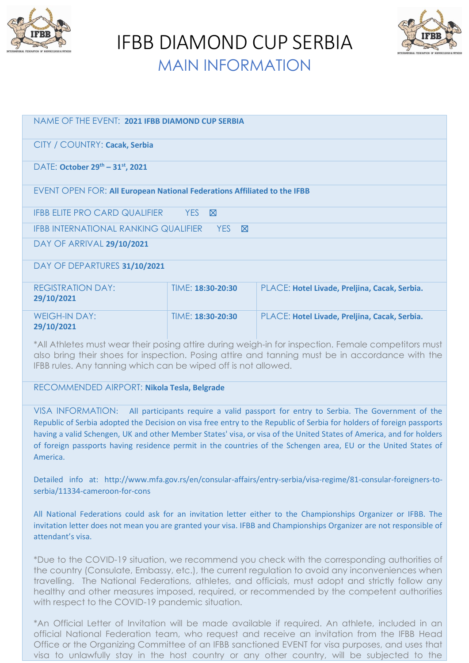

IFBB DIAMOND CUP SERBIA



MAIN INFORMATION

| NAME OF THE EVENT: 2021 IFBB DIAMOND CUP SERBIA                          |                   |                                               |  |
|--------------------------------------------------------------------------|-------------------|-----------------------------------------------|--|
| CITY / COUNTRY: Cacak, Serbia                                            |                   |                                               |  |
| DATE: October 29 <sup>th</sup> - 31 <sup>st</sup> , 2021                 |                   |                                               |  |
| EVENT OPEN FOR: All European National Federations Affiliated to the IFBB |                   |                                               |  |
| <b>IFBB ELITE PRO CARD QUALIFIER</b><br>YES <b>X</b>                     |                   |                                               |  |
| IFBB INTERNATIONAL RANKING QUALIFIER YES<br><b>N</b>                     |                   |                                               |  |
| DAY OF ARRIVAL 29/10/2021                                                |                   |                                               |  |
| DAY OF DEPARTURES 31/10/2021                                             |                   |                                               |  |
| <b>REGISTRATION DAY:</b><br>29/10/2021                                   | TIME: 18:30-20:30 | PLACE: Hotel Livade, Preljina, Cacak, Serbia. |  |
| <b>WEIGH-IN DAY:</b><br>29/10/2021                                       | TIME: 18:30-20:30 | PLACE: Hotel Livade, Preljina, Cacak, Serbia. |  |
|                                                                          |                   |                                               |  |

\*All Athletes must wear their posing attire during weigh-in for inspection. Female competitors must also bring their shoes for inspection. Posing attire and tanning must be in accordance with the IFBB rules. Any tanning which can be wiped off is not allowed.

# RECOMMENDED AIRPORT: **Nikola Tesla, Belgrade**

VISA INFORMATION: All participants require a valid passport for entry to Serbia. The Government of the Republic of Serbia adopted the Decision on visa free entry to the Republic of Serbia for holders of foreign passports having a valid Schengen, UK and other Member States' visa, or visa of the United States of America, and for holders of foreign passports having residence permit in the countries of the Schengen area, EU or the United States of America.

Detailed info at: http://www.mfa.gov.rs/en/consular-affairs/entry-serbia/visa-regime/81-consular-foreigners-toserbia/11334-cameroon-for-cons

All National Federations could ask for an invitation letter either to the Championships Organizer or IFBB. The invitation letter does not mean you are granted your visa. IFBB and Championships Organizer are not responsible of attendant's visa.

\*Due to the COVID-19 situation, we recommend you check with the corresponding authorities of the country (Consulate, Embassy, etc.), the current regulation to avoid any inconveniences when travelling. The National Federations, athletes, and officials, must adopt and strictly follow any healthy and other measures imposed, required, or recommended by the competent authorities with respect to the COVID-19 pandemic situation.

\*An Official Letter of Invitation will be made available if required. An athlete, included in an official National Federation team, who request and receive an invitation from the IFBB Head Office or the Organizing Committee of an IFBB sanctioned EVENT for visa purposes, and uses that visa to unlawfully stay in the host country or any other country, will be subjected to the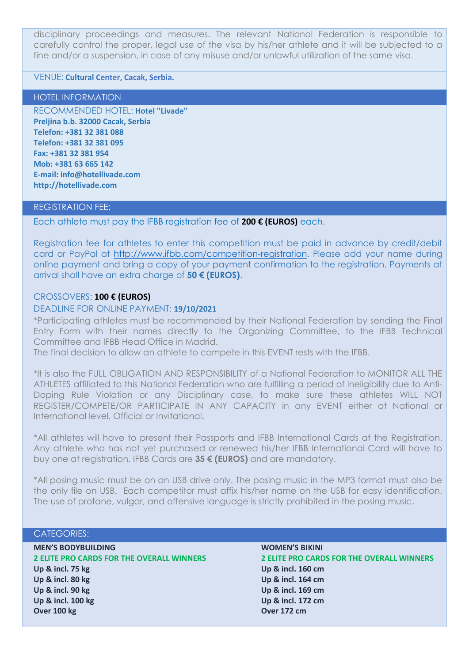disciplinary proceedings and measures. The relevant National Federation is responsible to carefully control the proper, legal use of the visa by his/her athlete and it will be subjected to a fine and/or a suspension, in case of any misuse and/or unlawful utilization of the same visa.

# VENUE: **Cultural Center, Cacak, Serbia.**

## HOTEL INFORMATION

RECOMMENDED HOTEL: **Hotel "Livade" Preljina b.b. 32000 Cacak, Serbia Telefon: +381 32 381 088 Telefon: +381 32 381 095 Fax: +381 32 381 954 Mob: +381 63 665 142 E-mail: info@hotellivade.com http://hotellivade.com**

# REGISTRATION FEE:

Each athlete must pay the IFBB registration fee of **200 € (EUROS)** each.

Registration fee for athletes to enter this competition must be paid in advance by credit/debit card or PayPal at [http://www.ifbb.com/competition-registration.](http://www.ifbb.com/competition-registration) Please add your name during online payment and bring a copy of your payment confirmation to the registration. Payments at arrival shall have an extra charge of **50 € (EUROS)**.

# CROSSOVERS: **100 € (EUROS)**

## DEADLINE FOR ONLINE PAYMENT: **19/10/2021**

\*Participating athletes must be recommended by their National Federation by sending the Final Entry Form with their names directly to the Organizing Committee, to the IFBB Technical Committee and IFBB Head Office in Madrid.

The final decision to allow an athlete to compete in this EVENT rests with the IFBB.

\*It is also the FULL OBLIGATION AND RESPONSIBILITY of a National Federation to MONITOR ALL THE ATHLETES affiliated to this National Federation who are fulfilling a period of ineligibility due to Anti-Doping Rule Violation or any Disciplinary case, to make sure these athletes WILL NOT REGISTER/COMPETE/OR PARTICIPATE IN ANY CAPACITY in any EVENT either at National or International level, Official or Invitational.

\*All athletes will have to present their Passports and IFBB International Cards at the Registration. Any athlete who has not yet purchased or renewed his/her IFBB International Card will have to buy one at registration. IFBB Cards are **35 € (EUROS)** and are mandatory.

\*All posing music must be on an USB drive only. The posing music in the MP3 format must also be the only file on USB. Each competitor must affix his/her name on the USB for easy identification. The use of profane, vulgar, and offensive language is strictly prohibited in the posing music.

# CATEGORIES:

| <b>MEN'S BODYBUILDING</b>                        |
|--------------------------------------------------|
| <b>2 ELITE PRO CARDS FOR THE OVERALL WINNERS</b> |
| <b>Up &amp; incl. 75 kg</b>                      |
| Up & incl. 80 kg                                 |
| Up & incl. 90 kg                                 |
| Up & incl. 100 kg                                |
| Over 100 kg                                      |

## **WOMEN'S BIKINI**

**2 ELITE PRO CARDS FOR THE OVERALL WINNERS Up & incl. 160 cm Up & incl. 164 cm Up & incl. 169 cm Up & incl. 172 cm Over 172 cm**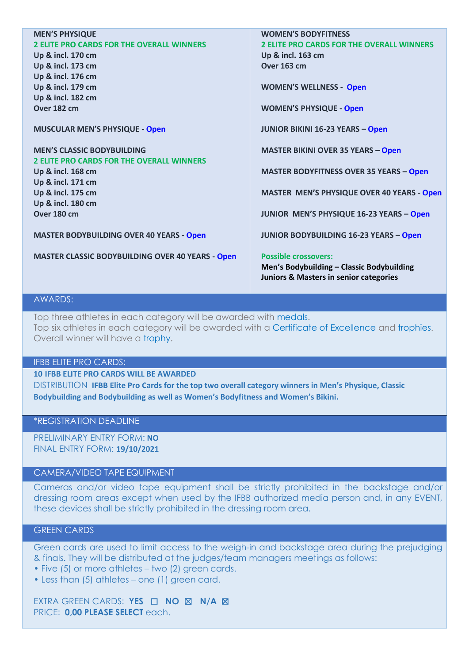| <b>MEN'S PHYSIQUE</b>                                   | <b>WOMEN'S BODYFITNESS</b>                        |
|---------------------------------------------------------|---------------------------------------------------|
| <b>2 ELITE PRO CARDS FOR THE OVERALL WINNERS</b>        | <b>2 ELITE PRO CARDS FOR THE OVERALL WINNERS</b>  |
| Up & incl. 170 cm                                       | Up & incl. 163 cm                                 |
| Up & incl. 173 cm                                       | <b>Over 163 cm</b>                                |
| Up & incl. 176 cm                                       |                                                   |
| Up & incl. 179 cm                                       | <b>WOMEN'S WELLNESS - Open</b>                    |
| Up & incl. 182 cm                                       |                                                   |
| Over 182 cm                                             | <b>WOMEN'S PHYSIQUE - Open</b>                    |
|                                                         |                                                   |
| <b>MUSCULAR MEN'S PHYSIQUE - Open</b>                   | <b>JUNIOR BIKINI 16-23 YEARS - Open</b>           |
| <b>MEN'S CLASSIC BODYBUILDING</b>                       |                                                   |
| <b>2 ELITE PRO CARDS FOR THE OVERALL WINNERS</b>        | <b>MASTER BIKINI OVER 35 YEARS - Open</b>         |
| Up & incl. 168 cm                                       | <b>MASTER BODYFITNESS OVER 35 YEARS - Open</b>    |
| Up & incl. 171 cm                                       |                                                   |
| Up & incl. 175 cm                                       | MASTER MEN'S PHYSIQUE OVER 40 YEARS - Open        |
| Up & incl. 180 cm                                       |                                                   |
| Over 180 cm                                             | JUNIOR MEN'S PHYSIQUE 16-23 YEARS - Open          |
|                                                         |                                                   |
| <b>MASTER BODYBUILDING OVER 40 YEARS - Open</b>         | <b>JUNIOR BODYBUILDING 16-23 YEARS - Open</b>     |
|                                                         |                                                   |
| <b>MASTER CLASSIC BODYBUILDING OVER 40 YEARS - Open</b> | <b>Possible crossovers:</b>                       |
|                                                         | Men's Bodybuilding - Classic Bodybuilding         |
|                                                         | <b>Juniors &amp; Masters in senior categories</b> |

# AWARDS:

Top three athletes in each category will be awarded with medals. Top six athletes in each category will be awarded with a Certificate of Excellence and trophies. Overall winner will have a trophy.

#### IFBB ELITE PRO CARDS:

**10 IFBB ELITE PRO CARDS WILL BE AWARDED** 

DISTRIBUTION **IFBB Elite Pro Cards for the top two overall category winners in Men's Physique, Classic Bodybuilding and Bodybuilding as well as Women's Bodyfitness and Women's Bikini.** 

## \*REGISTRATION DEADLINE

PRELIMINARY ENTRY FORM: **NO** FINAL ENTRY FORM: **19/10/2021**

# CAMERA/VIDEO TAPE EQUIPMENT

Cameras and/or video tape equipment shall be strictly prohibited in the backstage and/or dressing room areas except when used by the IFBB authorized media person and, in any EVENT, these devices shall be strictly prohibited in the dressing room area.

# GREEN CARDS

Green cards are used to limit access to the weigh-in and backstage area during the prejudging & finals. They will be distributed at the judges/team managers meetings as follows:

- Five (5) or more athletes two (2) green cards.
- Less than (5) athletes one (1) green card.

EXTRA GREEN CARDS: **YES** ☐ **NO** ☒ **N/A** ☒ PRICE: **0,00 PLEASE SELECT** each.